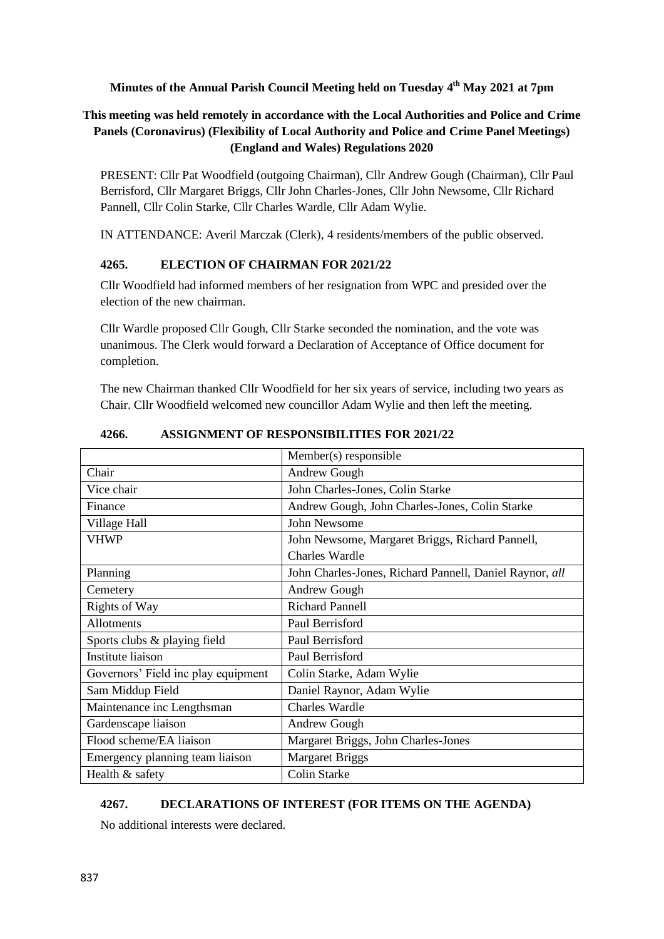**Minutes of the Annual Parish Council Meeting held on Tuesday 4 th May 2021 at 7pm** 

# **This meeting was held remotely in accordance with the Local Authorities and Police and Crime Panels (Coronavirus) (Flexibility of Local Authority and Police and Crime Panel Meetings) (England and Wales) Regulations 2020**

PRESENT: Cllr Pat Woodfield (outgoing Chairman), Cllr Andrew Gough (Chairman), Cllr Paul Berrisford, Cllr Margaret Briggs, Cllr John Charles-Jones, Cllr John Newsome, Cllr Richard Pannell, Cllr Colin Starke, Cllr Charles Wardle, Cllr Adam Wylie.

IN ATTENDANCE: Averil Marczak (Clerk), 4 residents/members of the public observed.

## **4265. ELECTION OF CHAIRMAN FOR 2021/22**

Cllr Woodfield had informed members of her resignation from WPC and presided over the election of the new chairman.

Cllr Wardle proposed Cllr Gough, Cllr Starke seconded the nomination, and the vote was unanimous. The Clerk would forward a Declaration of Acceptance of Office document for completion.

The new Chairman thanked Cllr Woodfield for her six years of service, including two years as Chair. Cllr Woodfield welcomed new councillor Adam Wylie and then left the meeting.

|                                     | Member(s) responsible                                   |
|-------------------------------------|---------------------------------------------------------|
| Chair                               | Andrew Gough                                            |
| Vice chair                          | John Charles-Jones, Colin Starke                        |
| Finance                             | Andrew Gough, John Charles-Jones, Colin Starke          |
| Village Hall                        | John Newsome                                            |
| <b>VHWP</b>                         | John Newsome, Margaret Briggs, Richard Pannell,         |
|                                     | <b>Charles Wardle</b>                                   |
| Planning                            | John Charles-Jones, Richard Pannell, Daniel Raynor, all |
| Cemetery                            | Andrew Gough                                            |
| <b>Rights of Way</b>                | <b>Richard Pannell</b>                                  |
| Allotments                          | Paul Berrisford                                         |
| Sports clubs & playing field        | Paul Berrisford                                         |
| <b>Institute liaison</b>            | Paul Berrisford                                         |
| Governors' Field inc play equipment | Colin Starke, Adam Wylie                                |
| Sam Middup Field                    | Daniel Raynor, Adam Wylie                               |
| Maintenance inc Lengthsman          | <b>Charles Wardle</b>                                   |
| Gardenscape liaison                 | Andrew Gough                                            |
| Flood scheme/EA liaison             | Margaret Briggs, John Charles-Jones                     |
| Emergency planning team liaison     | <b>Margaret Briggs</b>                                  |
| Health & safety                     | <b>Colin Starke</b>                                     |

**4266. ASSIGNMENT OF RESPONSIBILITIES FOR 2021/22**

# **4267. DECLARATIONS OF INTEREST (FOR ITEMS ON THE AGENDA)**

No additional interests were declared.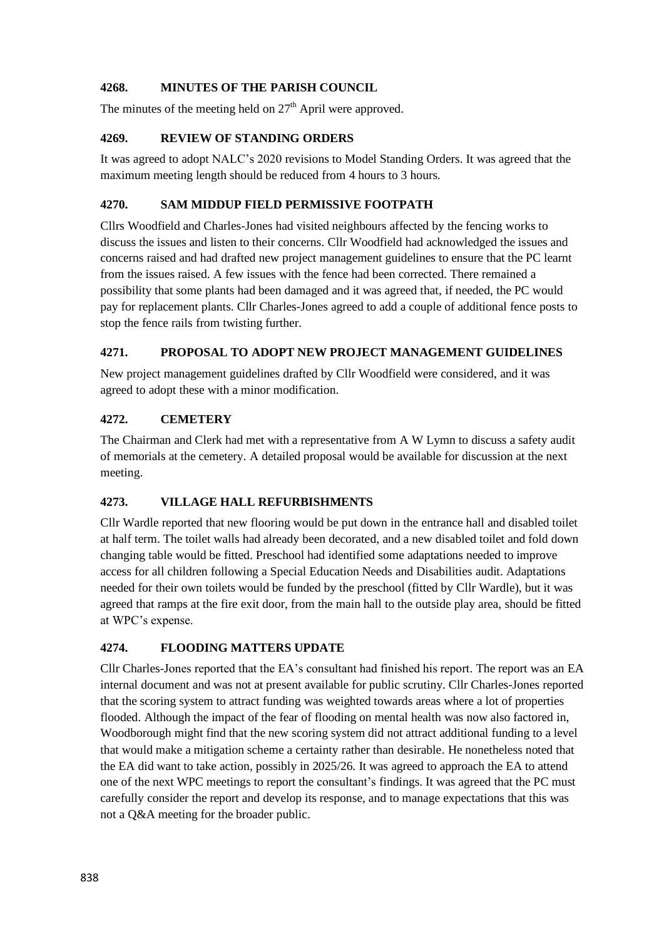## **4268. MINUTES OF THE PARISH COUNCIL**

The minutes of the meeting held on  $27<sup>th</sup>$  April were approved.

## **4269. REVIEW OF STANDING ORDERS**

It was agreed to adopt NALC's 2020 revisions to Model Standing Orders. It was agreed that the maximum meeting length should be reduced from 4 hours to 3 hours.

## **4270. SAM MIDDUP FIELD PERMISSIVE FOOTPATH**

Cllrs Woodfield and Charles-Jones had visited neighbours affected by the fencing works to discuss the issues and listen to their concerns. Cllr Woodfield had acknowledged the issues and concerns raised and had drafted new project management guidelines to ensure that the PC learnt from the issues raised. A few issues with the fence had been corrected. There remained a possibility that some plants had been damaged and it was agreed that, if needed, the PC would pay for replacement plants. Cllr Charles-Jones agreed to add a couple of additional fence posts to stop the fence rails from twisting further.

# **4271. PROPOSAL TO ADOPT NEW PROJECT MANAGEMENT GUIDELINES**

New project management guidelines drafted by Cllr Woodfield were considered, and it was agreed to adopt these with a minor modification.

## **4272. CEMETERY**

The Chairman and Clerk had met with a representative from A W Lymn to discuss a safety audit of memorials at the cemetery. A detailed proposal would be available for discussion at the next meeting.

#### **4273. VILLAGE HALL REFURBISHMENTS**

Cllr Wardle reported that new flooring would be put down in the entrance hall and disabled toilet at half term. The toilet walls had already been decorated, and a new disabled toilet and fold down changing table would be fitted. Preschool had identified some adaptations needed to improve access for all children following a Special Education Needs and Disabilities audit. Adaptations needed for their own toilets would be funded by the preschool (fitted by Cllr Wardle), but it was agreed that ramps at the fire exit door, from the main hall to the outside play area, should be fitted at WPC's expense.

#### **4274. FLOODING MATTERS UPDATE**

Cllr Charles-Jones reported that the EA's consultant had finished his report. The report was an EA internal document and was not at present available for public scrutiny. Cllr Charles-Jones reported that the scoring system to attract funding was weighted towards areas where a lot of properties flooded. Although the impact of the fear of flooding on mental health was now also factored in, Woodborough might find that the new scoring system did not attract additional funding to a level that would make a mitigation scheme a certainty rather than desirable. He nonetheless noted that the EA did want to take action, possibly in 2025/26. It was agreed to approach the EA to attend one of the next WPC meetings to report the consultant's findings. It was agreed that the PC must carefully consider the report and develop its response, and to manage expectations that this was not a Q&A meeting for the broader public.